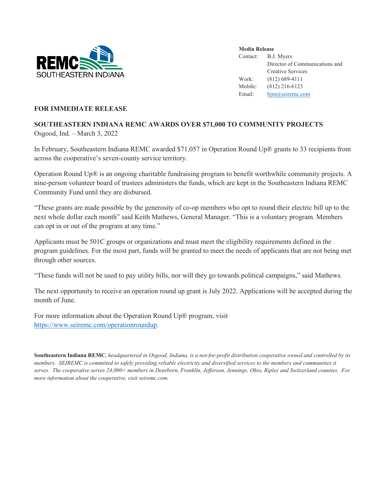

**Media Release** Contact: B.J. Myers Director of Communications and Creative Services Work: (812) 689-4111 Mobile: (812) 216-6123 Email: [bjm@seiremc.com](mailto:bjm@seiremc.com)

## **FOR IMMEDIATE RELEASE**

## **SOUTHEASTERN INDIANA REMC AWARDS OVER \$71,000 TO COMMUNITY PROJECTS** Osgood, Ind. – March 3, 2022

In February, Southeastern Indiana REMC awarded \$71,057 in Operation Round Up® grants to 33 recipients from across the cooperative's seven-county service territory.

Operation Round Up® is an ongoing charitable fundraising program to benefit worthwhile community projects. A nine-person volunteer board of trustees administers the funds, which are kept in the Southeastern Indiana REMC Community Fund until they are disbursed.

"These grants are made possible by the generosity of co-op members who opt to round their electric bill up to the next whole dollar each month" said Keith Mathews, General Manager. "This is a voluntary program. Members can opt in or out of the program at any time."

Applicants must be 501C groups or organizations and must meet the eligibility requirements defined in the program guidelines. For the most part, funds will be granted to meet the needs of applicants that are not being met through other sources.

"These funds will not be used to pay utility bills, nor will they go towards political campaigns," said Mathews.

The next opportunity to receive an operation round up grant is July 2022. Applications will be accepted during the month of June.

For more information about the Operation Round Up® program, visit [https://www.seiremc.com/operationroundup.](https://www.seiremc.com/operationroundup)

**Southeastern Indiana REMC**, *headquartered in Osgood, Indiana, is a not-for-profit distribution cooperative owned and controlled by its members. SEIREMC is committed to safely providing reliable electricity and diversified services to the members and communities it serves. The cooperative serves 24,000+ members in Dearborn, Franklin, Jefferson, Jennings, Ohio, Ripley and Switzerland counties. For more information about the cooperative, visit seiremc.com.*